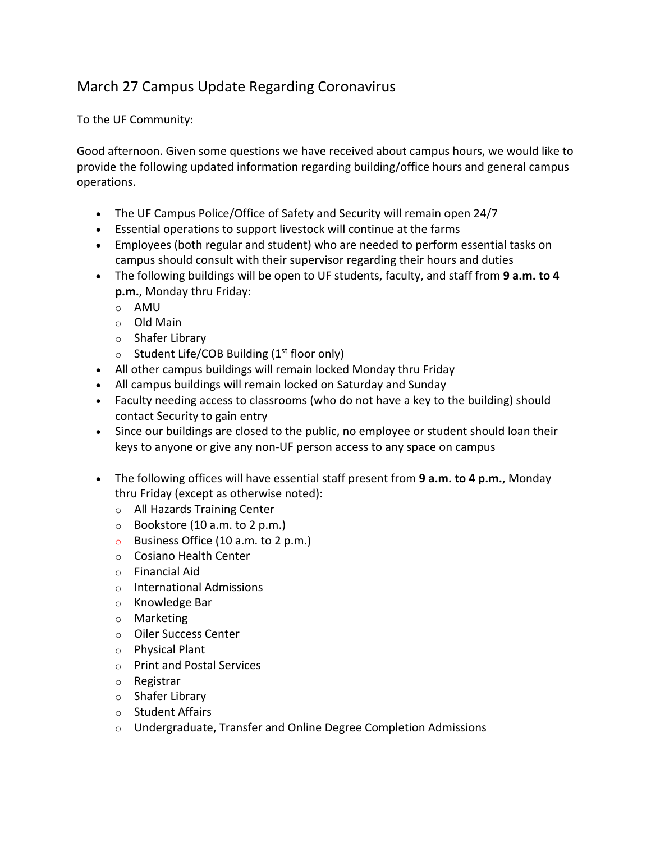## March 27 Campus Update Regarding Coronavirus

To the UF Community:

Good afternoon. Given some questions we have received about campus hours, we would like to provide the following updated information regarding building/office hours and general campus operations.

- The UF Campus Police/Office of Safety and Security will remain open 24/7
- Essential operations to support livestock will continue at the farms
- Employees (both regular and student) who are needed to perform essential tasks on campus should consult with their supervisor regarding their hours and duties
- The following buildings will be open to UF students, faculty, and staff from **9 a.m. to 4 p.m.**, Monday thru Friday:
	- o AMU
	- o Old Main
	- o Shafer Library
	- $\circ$  Student Life/COB Building (1<sup>st</sup> floor only)
- All other campus buildings will remain locked Monday thru Friday
- All campus buildings will remain locked on Saturday and Sunday
- Faculty needing access to classrooms (who do not have a key to the building) should contact Security to gain entry
- Since our buildings are closed to the public, no employee or student should loan their keys to anyone or give any non-UF person access to any space on campus
- The following offices will have essential staff present from **9 a.m. to 4 p.m.**, Monday thru Friday (except as otherwise noted):
	- o All Hazards Training Center
	- $\circ$  Bookstore (10 a.m. to 2 p.m.)
	- o Business Office (10 a.m. to 2 p.m.)
	- o Cosiano Health Center
	- o Financial Aid
	- o International Admissions
	- o Knowledge Bar
	- o Marketing
	- o Oiler Success Center
	- o Physical Plant
	- o Print and Postal Services
	- o Registrar
	- o Shafer Library
	- o Student Affairs
	- o Undergraduate, Transfer and Online Degree Completion Admissions